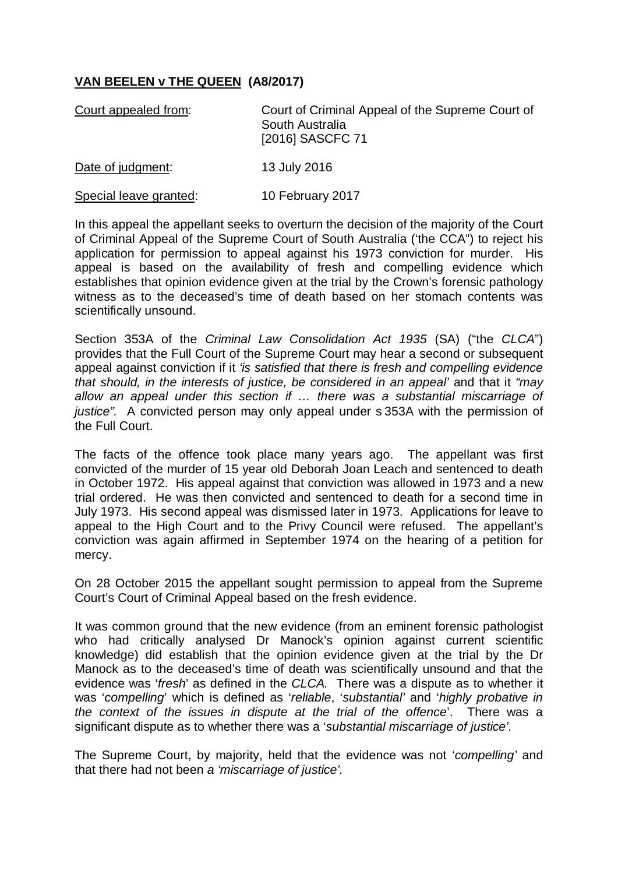## **VAN BEELEN v THE QUEEN (A8/2017)**

| Court appealed from:   | Court of Criminal Appeal of the Supreme Court of<br>South Australia<br>[2016] SASCFC 71 |
|------------------------|-----------------------------------------------------------------------------------------|
| Date of judgment:      | 13 July 2016                                                                            |
| Special leave granted: | 10 February 2017                                                                        |

In this appeal the appellant seeks to overturn the decision of the majority of the Court of Criminal Appeal of the Supreme Court of South Australia ('the CCA") to reject his application for permission to appeal against his 1973 conviction for murder. His appeal is based on the availability of fresh and compelling evidence which establishes that opinion evidence given at the trial by the Crown's forensic pathology witness as to the deceased's time of death based on her stomach contents was scientifically unsound.

Section 353A of the *Criminal Law Consolidation Act 1935* (SA) ("the *CLCA*") provides that the Full Court of the Supreme Court may hear a second or subsequent appeal against conviction if it *'is satisfied that there is fresh and compelling evidence that should, in the interests of justice, be considered in an appeal'* and that it *"may allow an appeal under this section if … there was a substantial miscarriage of justice".* A convicted person may only appeal under s 353A with the permission of the Full Court.

The facts of the offence took place many years ago. The appellant was first convicted of the murder of 15 year old Deborah Joan Leach and sentenced to death in October 1972. His appeal against that conviction was allowed in 1973 and a new trial ordered. He was then convicted and sentenced to death for a second time in July 1973. His second appeal was dismissed later in 1973. Applications for leave to appeal to the High Court and to the Privy Council were refused. The appellant's conviction was again affirmed in September 1974 on the hearing of a petition for mercy.

On 28 October 2015 the appellant sought permission to appeal from the Supreme Court's Court of Criminal Appeal based on the fresh evidence.

It was common ground that the new evidence (from an eminent forensic pathologist who had critically analysed Dr Manock's opinion against current scientific knowledge) did establish that the opinion evidence given at the trial by the Dr Manock as to the deceased's time of death was scientifically unsound and that the evidence was '*fresh*' as defined in the *CLCA.* There was a dispute as to whether it was '*compelling*' which is defined as '*reliable*, '*substantial'* and '*highly probative in the context of the issues in dispute at the trial of the offence*'. There was a significant dispute as to whether there was a '*substantial miscarriage of justice'.*

The Supreme Court, by majority, held that the evidence was not '*compelling'* and that there had not been *a 'miscarriage of justice'.*